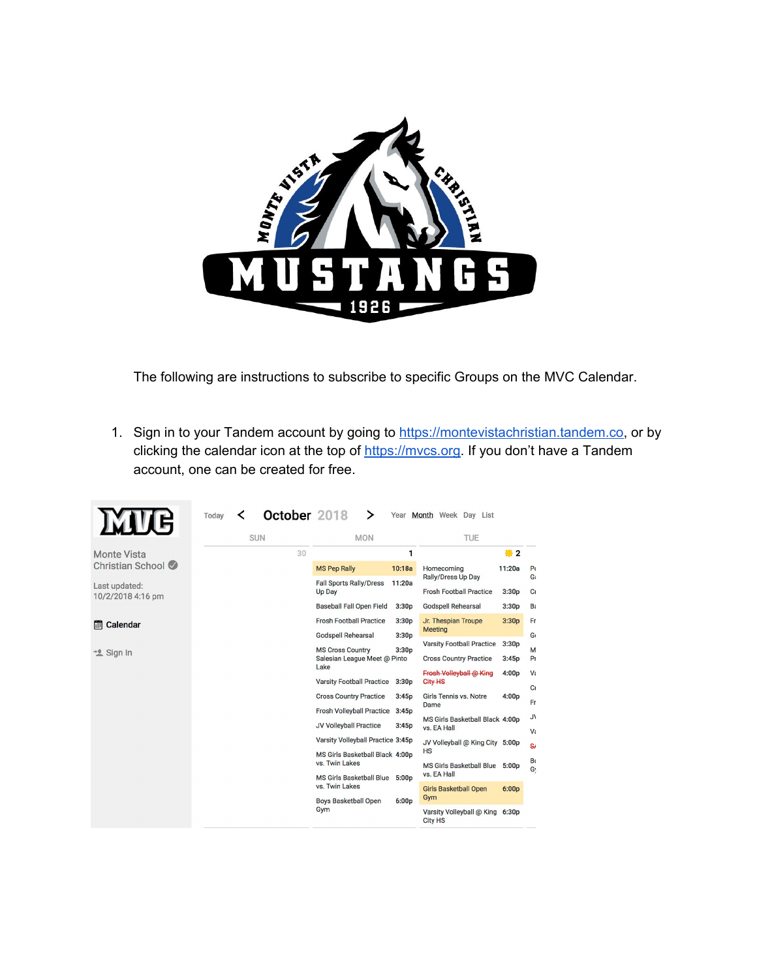

The following are instructions to subscribe to specific Groups on the MVC Calendar.

1. Sign in to your Tandem account by going to [https://montevistachristian.tandem.co,](https://montevistachristian.tandem.co/) or by clicking the calendar icon at the top of [https://mvcs.org.](https://mvcs.org/) If you don't have a Tandem account, one can be created for free.

| 侣                  | Today                                                                                                                                                                                                                                                                                                                                                                           |            | October 2018 | ゝ                                                 | Year   | Month Week Day List                                  |                   |                |
|--------------------|---------------------------------------------------------------------------------------------------------------------------------------------------------------------------------------------------------------------------------------------------------------------------------------------------------------------------------------------------------------------------------|------------|--------------|---------------------------------------------------|--------|------------------------------------------------------|-------------------|----------------|
|                    |                                                                                                                                                                                                                                                                                                                                                                                 | <b>SUN</b> |              | <b>MON</b>                                        |        | TUE                                                  |                   |                |
| <b>Monte Vista</b> |                                                                                                                                                                                                                                                                                                                                                                                 |            | 30           |                                                   | 1      |                                                      | ₩2                |                |
| Christian School   |                                                                                                                                                                                                                                                                                                                                                                                 |            |              | <b>MS Pep Rally</b>                               | 10:18a | Homecoming                                           | 11:20a            | P <sub>C</sub> |
| Last updated:      |                                                                                                                                                                                                                                                                                                                                                                                 |            |              | <b>Fall Sports Rally/Dress</b><br><b>Up Day</b>   | 11:20a | Rally/Dress Up Day<br><b>Frosh Football Practice</b> | 3:30p             | $G_i$<br>Cr    |
| 10/2/2018 4:16 pm  |                                                                                                                                                                                                                                                                                                                                                                                 |            |              | <b>Baseball Fall Open Field</b>                   | 3:30p  | <b>Godspell Rehearsal</b>                            | 3:30p             | Bε             |
| Calendar           |                                                                                                                                                                                                                                                                                                                                                                                 |            |              | <b>Frosh Football Practice</b>                    | 3:30p  | Jr. Thespian Troupe                                  | 3:30p             | Fn             |
|                    |                                                                                                                                                                                                                                                                                                                                                                                 |            |              | <b>Godspell Rehearsal</b>                         | 3:30p  |                                                      |                   |                |
| ** Sign In         |                                                                                                                                                                                                                                                                                                                                                                                 |            |              | <b>MS Cross Country</b>                           | 3:30p  |                                                      |                   | M:             |
|                    | <b>Meeting</b><br>Go<br>3:30p<br><b>Varsity Football Practice</b><br>Salesian League Meet @ Pinto<br><b>Cross Country Practice</b><br>3:45p<br>Pr<br>Lake<br>Frosh Volleyball @ King<br>4:00 <sub>D</sub><br>Vε<br><b>Varsity Football Practice</b><br>3:30p<br>City HS<br>cr<br><b>Cross Country Practice</b><br><b>Girls Tennis vs. Notre</b><br>4:00p<br>3:45p<br>Fn<br>Dame |            |              |                                                   |        |                                                      |                   |                |
|                    |                                                                                                                                                                                                                                                                                                                                                                                 |            |              |                                                   |        |                                                      |                   |                |
|                    |                                                                                                                                                                                                                                                                                                                                                                                 |            |              |                                                   |        |                                                      |                   |                |
|                    |                                                                                                                                                                                                                                                                                                                                                                                 |            |              |                                                   |        |                                                      |                   |                |
|                    |                                                                                                                                                                                                                                                                                                                                                                                 |            |              | <b>Frosh Volleyball Practice</b>                  | 3:45p  | MS Girls Basketball Black 4:00p                      |                   | JV             |
|                    |                                                                                                                                                                                                                                                                                                                                                                                 |            |              | <b>JV Volleyball Practice</b>                     | 3:45p  | vs. EA Hall                                          |                   | Vε             |
|                    |                                                                                                                                                                                                                                                                                                                                                                                 |            |              | Varsity Volleyball Practice 3:45p                 |        | JV Volleyball @ King City 5:00p                      |                   | S              |
|                    |                                                                                                                                                                                                                                                                                                                                                                                 |            |              | MS Girls Basketball Black 4:00p                   |        | <b>HS</b>                                            |                   |                |
|                    |                                                                                                                                                                                                                                                                                                                                                                                 |            |              | vs. Twin Lakes                                    |        | <b>MS Girls Basketball Blue</b>                      | 5:00 <sub>D</sub> | Bc<br>Gy       |
|                    |                                                                                                                                                                                                                                                                                                                                                                                 |            |              | <b>MS Girls Basketball Blue</b><br>vs. Twin Lakes | 5:00p  | vs. EA Hall                                          |                   |                |
|                    |                                                                                                                                                                                                                                                                                                                                                                                 |            |              | <b>Boys Basketball Open</b>                       | 6:00p  | <b>Girls Basketball Open</b><br>Gym                  | 6:00 <sub>D</sub> |                |
|                    |                                                                                                                                                                                                                                                                                                                                                                                 |            |              | Gym                                               |        | Varsity Volleyball @ King 6:30p<br><b>City HS</b>    |                   |                |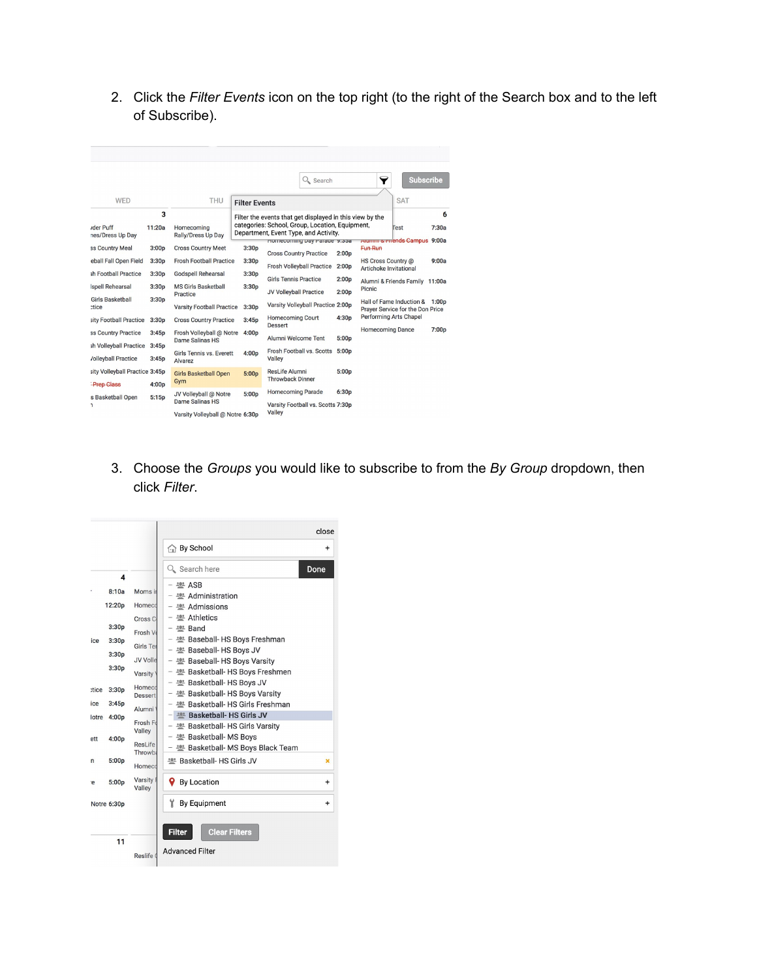2. Click the *Filter Events* icon on the top right (to the right of the Search box and to the left of Subscribe).

|                                                      |                   |                                             |                      |                                                                                                                                                      | Q Search                          |                   | 7                       |                                                              | <b>Subscribe</b> |
|------------------------------------------------------|-------------------|---------------------------------------------|----------------------|------------------------------------------------------------------------------------------------------------------------------------------------------|-----------------------------------|-------------------|-------------------------|--------------------------------------------------------------|------------------|
| WED                                                  |                   | THU                                         | <b>Filter Events</b> |                                                                                                                                                      |                                   |                   |                         | <b>SAT</b>                                                   |                  |
| <i><b>Ider Puff</b></i><br>nes/Dress Up Day          | 3<br>11:20a       | Homecoming<br>Rally/Dress Up Day            |                      | Filter the events that get displayed in this view by the<br>categories: School, Group, Location, Equipment,<br>Department, Event Type, and Activity. | Homecoming Day Parade 9.35a       |                   |                         | Test<br><b>AIUITHII &amp; Friends Campus</b> 9:00a           | 6<br>7:30a       |
| ss Country Meal                                      | 3:00p             | <b>Cross Country Meet</b>                   | 3:30p                | <b>Cross Country Practice</b>                                                                                                                        |                                   | 2:00 <sub>D</sub> | <b>Fun Run</b>          |                                                              |                  |
| eball Fall Open Field                                | 3:30 <sub>D</sub> | <b>Frosh Football Practice</b>              | 3:30p                |                                                                                                                                                      | <b>Frosh Volleyball Practice</b>  | 2:00p             | HS Cross Country @      | <b>Artichoke Invitational</b>                                | 9:00a            |
| sh Football Practice                                 | 3:30p             | <b>Godspell Rehearsal</b>                   | 3:30p                | <b>Girls Tennis Practice</b>                                                                                                                         |                                   | 2:00p             |                         | Alumni & Friends Family                                      | 11:00a           |
| <b>Ispell Rehearsal</b>                              | 3:30p             | <b>MS Girls Basketball</b><br>Practice      | 3:30p                | <b>JV Volleyball Practice</b>                                                                                                                        |                                   | 2:00p             | Picnic                  |                                                              |                  |
| <b>Girls Basketball</b><br>etice                     | 3:30p             | <b>Varsity Football Practice</b>            | 3:30p                |                                                                                                                                                      | Varsity Volleyball Practice 2:00p |                   |                         | Hall of Fame Induction &<br>Prayer Service for the Don Price | 1:00p            |
| sity Football Practice                               | 3:30 <sub>p</sub> | <b>Cross Country Practice</b>               | 3:45p                | <b>Homecoming Court</b><br><b>Dessert</b>                                                                                                            |                                   | 4:30p             |                         | <b>Performing Arts Chapel</b>                                |                  |
| ss Country Practice                                  | 3:45p             | Frosh Volleyball @ Notre<br>Dame Salinas HS | 4:00p                | Alumni Welcome Tent                                                                                                                                  |                                   | 5:00 <sub>D</sub> | <b>Homecoming Dance</b> |                                                              | 7:00p            |
| sh Volleyball Practice<br><b>/olleyball Practice</b> | 3:45p<br>3:45p    | Girls Tennis vs. Everett<br>Alvarez         | 4:00p                | Valley                                                                                                                                               | Frosh Football vs. Scotts         | 5:00p             |                         |                                                              |                  |
| sity Volleyball Practice 3:45p<br><b>Prep Class</b>  | 4:00 <sub>D</sub> | <b>Girls Basketball Open</b><br>Gym         | 5:00p                | <b>ResLife Alumni</b><br><b>Throwback Dinner</b>                                                                                                     |                                   | 5:00p             |                         |                                                              |                  |
| s Basketball Open<br>٦                               | 5:15p             | JV Volleyball @ Notre<br>Dame Salinas HS    | 5:00p                | <b>Homecoming Parade</b><br>Valley                                                                                                                   | Varsity Football vs. Scotts 7:30p | 6:30p             |                         |                                                              |                  |
|                                                      |                   | Varsity Volleyball @ Notre 6:30p            |                      |                                                                                                                                                      |                                   |                   |                         |                                                              |                  |

3. Choose the *Groups* you would like to subscribe to from the *By Group* dropdown, then click *Filter*.

|              |             |                      |                                                                 | close     |
|--------------|-------------|----------------------|-----------------------------------------------------------------|-----------|
|              |             |                      | <b>A</b> By School                                              | $\ddot{}$ |
|              | 4           |                      | Q. Search here                                                  | Done      |
|              |             |                      | $-202$ ASB                                                      |           |
|              | 8:10a       | Moms in              | <b>202</b> Administration                                       |           |
|              | 12:20p      | Homecd               | <b>202</b> Admissions                                           |           |
|              |             | Cross <sub>C</sub>   | $ 202$ Athletics                                                |           |
|              | 3:30p       |                      | $ \stackrel{\text{def}}{=}$ Band                                |           |
| ice          | 3:30p       | Frosh V              | - 뿔 Baseball- HS Boys Freshman                                  |           |
|              |             | Girls Ter            | - <a><br/> Baseball-HS Boys JV</a>                              |           |
|              | 3:30p       | <b>JV Volle</b>      | - <a><br/> Baseball-HS Boys Varsity</a>                         |           |
|              | 3:30p       | Varsity <sup>'</sup> | - <a><a></a>Basketball-HS Boys Freshmen</a>                     |           |
|              |             | Homeco               | - <a><br/> Basketball-HS Boys JV</a>                            |           |
| <b>xtice</b> | 3:30p       | <b>Dessert</b>       | - <a><br/> Basketball-HS Boys Varsity</a>                       |           |
| ice          | 3:45p       | Alumni               | - 202 Basketball- HS Girls Freshman                             |           |
|              | lotre 4:00p |                      | - <sup>102</sup> Basketball- HS Girls JV                        |           |
|              |             | Frosh Fd<br>Valley   | - <a><br/> Basketball-HS Girls Varsity</a>                      |           |
| ett          | 4:00p       |                      | - <a><br/> Basketball-MS Boys</a>                               |           |
|              |             | ResLife<br>Throwba   | - <a>Basketball-MS Boys Black Team</a>                          |           |
| n            | 5:00p       | Homeco               | 變 Basketball- HS Girls JV                                       | ×         |
| ë            | 5:00p       | Varsity I<br>Valley  | 9.<br><b>By Location</b>                                        | $\ddot{}$ |
|              | Notre 6:30p |                      | By Equipment<br>Y                                               | $\ddot{}$ |
|              | 11          | Reslife              | <b>Filter</b><br><b>Clear Filters</b><br><b>Advanced Filter</b> |           |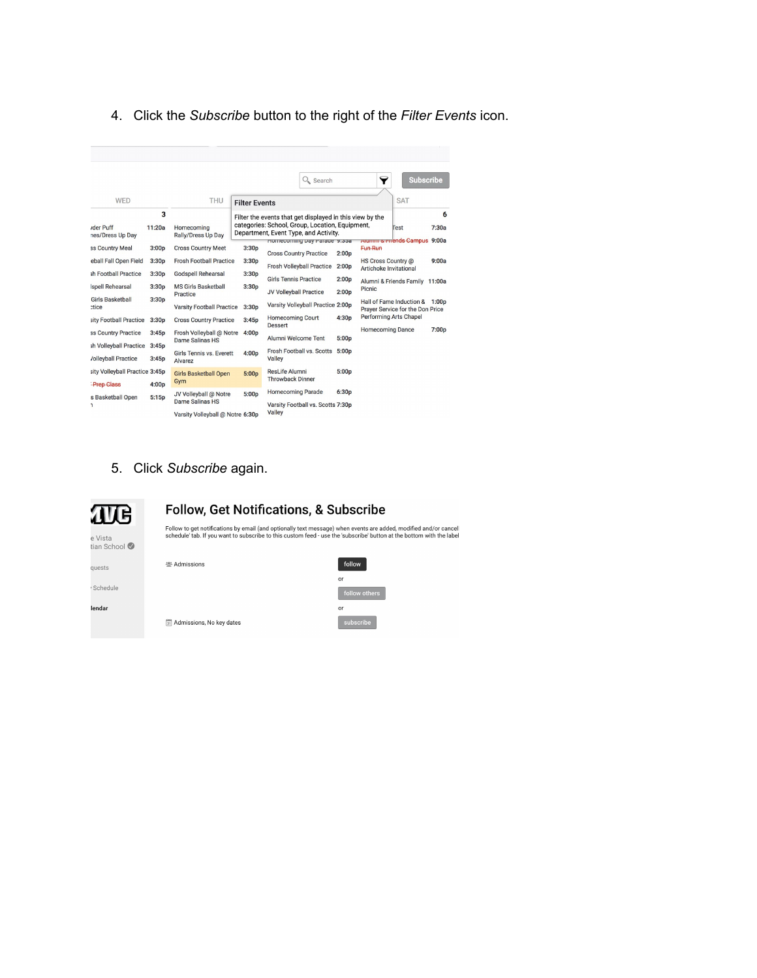4. Click the *Subscribe* button to the right of the *Filter Events* icon.

|                                      |                   |                                                            |                      | $Q_{\bullet}$ Search                                                                     | 7                 | <b>Subscribe</b>                                           |                                                              |       |
|--------------------------------------|-------------------|------------------------------------------------------------|----------------------|------------------------------------------------------------------------------------------|-------------------|------------------------------------------------------------|--------------------------------------------------------------|-------|
| WED                                  |                   | THU                                                        | <b>Filter Events</b> | <b>SAT</b>                                                                               |                   |                                                            |                                                              |       |
|                                      | 3                 |                                                            |                      | Filter the events that get displayed in this view by the                                 |                   |                                                            |                                                              | 6     |
| <i>rder Puff</i><br>nes/Dress Up Day | 11:20a            | Homecoming<br>Rally/Dress Up Day                           |                      | categories: School, Group, Location, Equipment,<br>Department, Event Type, and Activity. |                   |                                                            | Test                                                         | 7:30a |
| ss Country Meal                      | 3:00p             | <b>Cross Country Meet</b>                                  | 3:30p                | Homecoming Day Parade 9.33a<br><b>Cross Country Practice</b>                             | 2:00 <sub>D</sub> | <b>Fun Run</b>                                             | <b>AIGHTHI &amp; FHENDS Campus</b>                           | 9:00a |
| eball Fall Open Field                | 3:30 <sub>D</sub> | <b>Frosh Football Practice</b>                             | 3:30p                | <b>Frosh Volleyball Practice</b>                                                         | 2:00p             | <b>HS Cross Country @</b><br><b>Artichoke Invitational</b> |                                                              | 9:00a |
| sh Football Practice                 | 3:30 <sub>D</sub> | <b>Godspell Rehearsal</b>                                  | 3:30p                | <b>Girls Tennis Practice</b>                                                             | 2:00p             |                                                            | Alumni & Friends Family 11:00a                               |       |
| spell Rehearsal                      | 3:30p             | <b>MS Girls Basketball</b><br>Practice                     | 3:30p                | JV Volleyball Practice                                                                   | 2:00p             | Picnic                                                     |                                                              |       |
| <b>Girls Basketball</b><br>etice     | 3:30p             | <b>Varsity Football Practice</b>                           | 3:30p                | Varsity Volleyball Practice 2:00p                                                        |                   |                                                            | Hall of Fame Induction &<br>Prayer Service for the Don Price | 1:00p |
| sity Football Practice               | 3:30p             | <b>Cross Country Practice</b>                              | 3:45p                | <b>Homecoming Court</b><br>Dessert                                                       | 4:30p             | <b>Performing Arts Chapel</b>                              |                                                              |       |
| ss Country Practice                  | 3:45p             | Frosh Volleyball @ Notre<br>Dame Salinas HS                | 4:00p                | Alumni Welcome Tent                                                                      | 5:00 <sub>D</sub> | <b>Homecoming Dance</b>                                    |                                                              | 7:00p |
| sh Volleyball Practice               | 3:45p             | Girls Tennis vs. Everett                                   | 4:00p                | Frosh Football vs. Scotts                                                                | 5:00p             |                                                            |                                                              |       |
| <b>/olleyball Practice</b>           | 3:45p             | Alvarez                                                    |                      | Valley                                                                                   |                   |                                                            |                                                              |       |
| sity Volleyball Practice 3:45p       |                   | <b>Girls Basketball Open</b><br>Gym                        | 5:00p                | ResLife Alumni<br><b>Throwback Dinner</b>                                                | 5:00p             |                                                            |                                                              |       |
| <b>Prep Class</b>                    | 4:00p             | JV Volleyball @ Notre                                      | 5:00p                | <b>Homecoming Parade</b>                                                                 | 6:30p             |                                                            |                                                              |       |
| s Basketball Open<br>٦               | 5:15p             | <b>Dame Salinas HS</b><br>Varsity Volleyball @ Notre 6:30p |                      | Varsity Football vs. Scotts 7:30p<br>Valley                                              |                   |                                                            |                                                              |       |

5. Click *Subscribe* again.

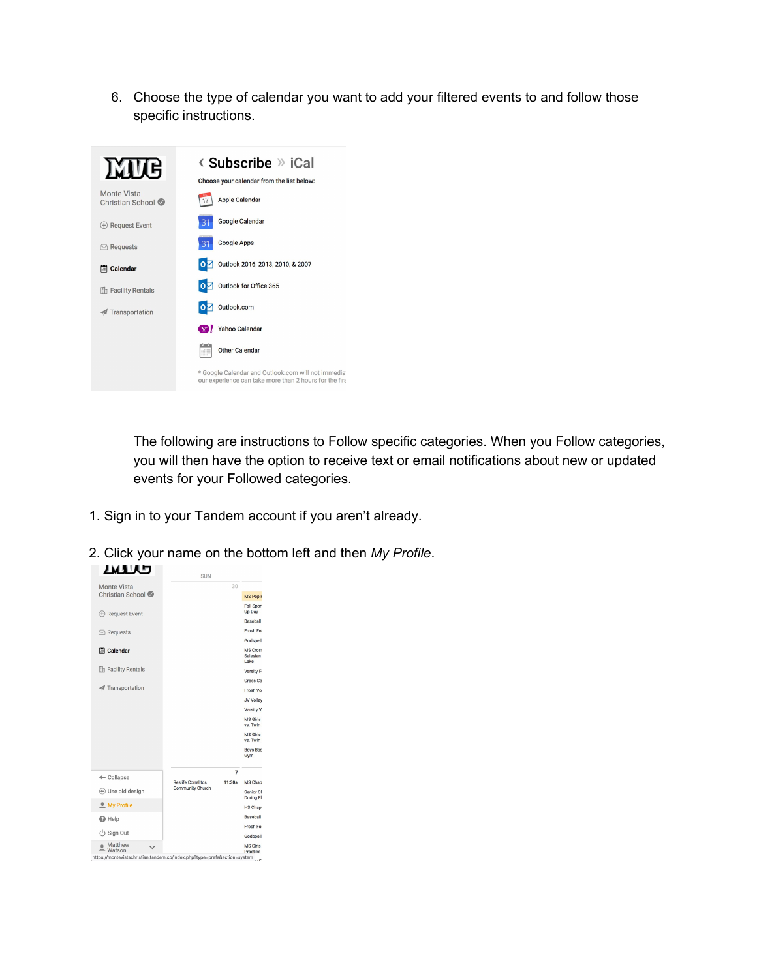6. Choose the type of calendar you want to add your filtered events to and follow those specific instructions.



The following are instructions to Follow specific categories. When you Follow categories, you will then have the option to receive text or email notifications about new or updated events for your Followed categories.

- 1. Sign in to your Tandem account if you aren't already.
- 2. Click your name on the bottom left and then *My Profile*.

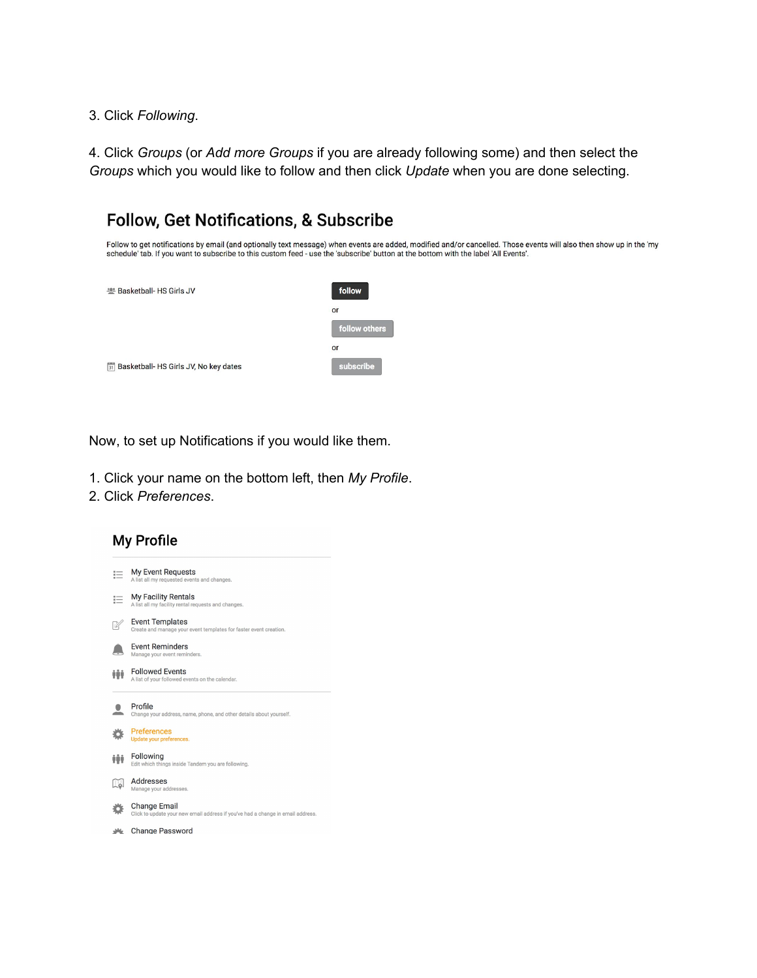3. Click *Following*.

4. Click *Groups* (or *Add more Groups* if you are already following some) and then select the *Groups* which you would like to follow and then click *Update* when you are done selecting.



Follow to get notifications by email (and optionally text message) when events are added, modified and/or cancelled. Those events will also then show up in the 'my schedule' tab. If you want to subscribe to this custom feed - use the 'subscribe' button at the bottom with the label 'All Events'.



Now, to set up Notifications if you would like them.

- 1. Click your name on the bottom left, then *My Profile*.
- 2. Click *Preferences*.